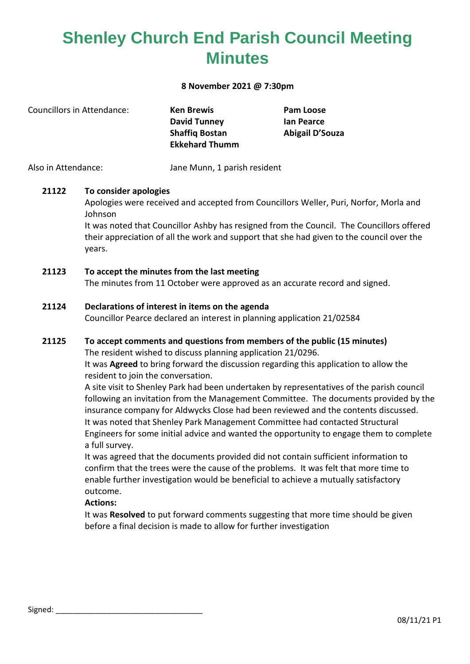## **Shenley Church End Parish Council Meeting Minutes**

#### **8 November 2021 @ 7:30pm**

| Councillors in Attendance: | <b>Ken Brewis</b>     | Pam Loose       |
|----------------------------|-----------------------|-----------------|
|                            | <b>David Tunney</b>   | lan Pearce      |
|                            | <b>Shaffig Bostan</b> | Abigail D'Souza |
|                            | <b>Ekkehard Thumm</b> |                 |
|                            |                       |                 |

Also in Attendance: Jane Munn, 1 parish resident

#### **21122 To consider apologies**

Apologies were received and accepted from Councillors Weller, Puri, Norfor, Morla and Johnson

It was noted that Councillor Ashby has resigned from the Council. The Councillors offered their appreciation of all the work and support that she had given to the council over the years.

#### **21123 To accept the minutes from the last meeting**

The minutes from 11 October were approved as an accurate record and signed.

#### **21124 Declarations of interest in items on the agenda**

Councillor Pearce declared an interest in planning application 21/02584

#### **21125 To accept comments and questions from members of the public (15 minutes)**

The resident wished to discuss planning application 21/0296.

It was **Agreed** to bring forward the discussion regarding this application to allow the resident to join the conversation.

A site visit to Shenley Park had been undertaken by representatives of the parish council following an invitation from the Management Committee. The documents provided by the insurance company for Aldwycks Close had been reviewed and the contents discussed. It was noted that Shenley Park Management Committee had contacted Structural Engineers for some initial advice and wanted the opportunity to engage them to complete a full survey.

It was agreed that the documents provided did not contain sufficient information to confirm that the trees were the cause of the problems. It was felt that more time to enable further investigation would be beneficial to achieve a mutually satisfactory outcome.

#### **Actions:**

It was **Resolved** to put forward comments suggesting that more time should be given before a final decision is made to allow for further investigation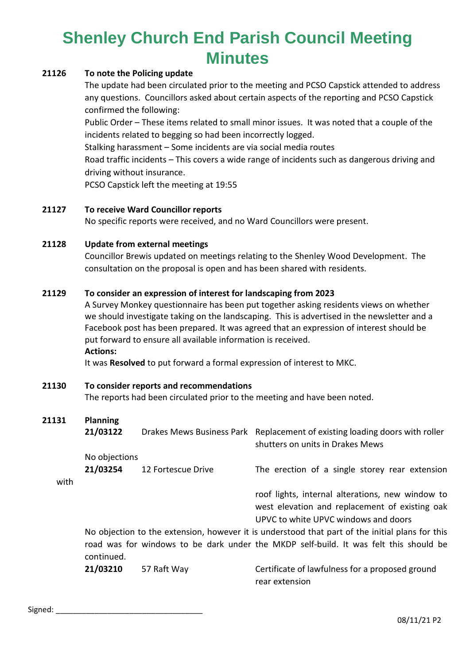# **Shenley Church End Parish Council Meeting Minutes**

#### **21126 To note the Policing update**

The update had been circulated prior to the meeting and PCSO Capstick attended to address any questions. Councillors asked about certain aspects of the reporting and PCSO Capstick confirmed the following:

Public Order – These items related to small minor issues. It was noted that a couple of the incidents related to begging so had been incorrectly logged.

Stalking harassment – Some incidents are via social media routes

Road traffic incidents – This covers a wide range of incidents such as dangerous driving and driving without insurance.

PCSO Capstick left the meeting at 19:55

#### **21127 To receive Ward Councillor reports**

No specific reports were received, and no Ward Councillors were present.

#### **21128 Update from external meetings**

Councillor Brewis updated on meetings relating to the Shenley Wood Development. The consultation on the proposal is open and has been shared with residents.

#### **21129 To consider an expression of interest for landscaping from 2023**

A Survey Monkey questionnaire has been put together asking residents views on whether we should investigate taking on the landscaping. This is advertised in the newsletter and a Facebook post has been prepared. It was agreed that an expression of interest should be put forward to ensure all available information is received.

**Actions:**

It was **Resolved** to put forward a formal expression of interest to MKC.

- **21130 To consider reports and recommendations** The reports had been circulated prior to the meeting and have been noted.
- **21131 Planning**

|      | 21/03122                                                                                        |                    | Drakes Mews Business Park Replacement of existing loading doors with roller<br>shutters on units in Drakes Mews |  |  |
|------|-------------------------------------------------------------------------------------------------|--------------------|-----------------------------------------------------------------------------------------------------------------|--|--|
|      | No objections                                                                                   |                    |                                                                                                                 |  |  |
|      | 21/03254                                                                                        | 12 Fortescue Drive | The erection of a single storey rear extension                                                                  |  |  |
| with |                                                                                                 |                    |                                                                                                                 |  |  |
|      |                                                                                                 |                    | roof lights, internal alterations, new window to                                                                |  |  |
|      |                                                                                                 |                    | west elevation and replacement of existing oak                                                                  |  |  |
|      |                                                                                                 |                    | UPVC to white UPVC windows and doors                                                                            |  |  |
|      | No objection to the extension, however it is understood that part of the initial plans for this |                    |                                                                                                                 |  |  |
|      | road was for windows to be dark under the MKDP self-build. It was felt this should be           |                    |                                                                                                                 |  |  |
|      | continued.                                                                                      |                    |                                                                                                                 |  |  |

**21/03210** 57 Raft Way Certificate of lawfulness for a proposed ground rear extension

Signed: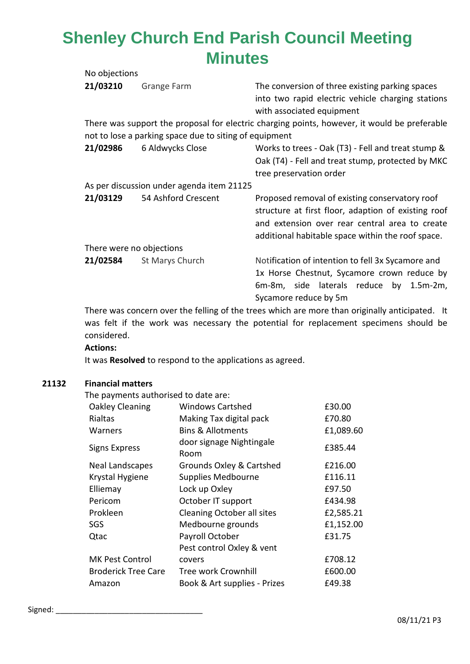### **Shenley Church End Parish Council Meeting Minutes**  $N_{\odot}$  objections

| No objections            |                                                        |                                                                                                                                                                                                              |
|--------------------------|--------------------------------------------------------|--------------------------------------------------------------------------------------------------------------------------------------------------------------------------------------------------------------|
| 21/03210                 | Grange Farm                                            | The conversion of three existing parking spaces<br>into two rapid electric vehicle charging stations<br>with associated equipment                                                                            |
|                          |                                                        | There was support the proposal for electric charging points, however, it would be preferable                                                                                                                 |
|                          | not to lose a parking space due to siting of equipment |                                                                                                                                                                                                              |
| 21/02986                 | 6 Aldwycks Close                                       | Works to trees - Oak (T3) - Fell and treat stump &<br>Oak (T4) - Fell and treat stump, protected by MKC<br>tree preservation order                                                                           |
|                          | As per discussion under agenda item 21125              |                                                                                                                                                                                                              |
| 21/03129                 | 54 Ashford Crescent                                    | Proposed removal of existing conservatory roof<br>structure at first floor, adaption of existing roof<br>and extension over rear central area to create<br>additional habitable space within the roof space. |
| There were no objections |                                                        |                                                                                                                                                                                                              |
| 21/02584                 | St Marys Church                                        | Notification of intention to fell 3x Sycamore and<br>1x Horse Chestnut, Sycamore crown reduce by<br>6m-8m, side laterals reduce by 1.5m-2m,<br>Sycamore reduce by 5m                                         |

There was concern over the felling of the trees which are more than originally anticipated. It was felt if the work was necessary the potential for replacement specimens should be considered.

#### **Actions:**

It was **Resolved** to respond to the applications as agreed.

#### **21132 Financial matters**

The payments authorised to date are:

| <b>Windows Cartshed</b>          | £30.00    |
|----------------------------------|-----------|
| Making Tax digital pack          | £70.80    |
| <b>Bins &amp; Allotments</b>     | £1,089.60 |
| door signage Nightingale<br>Room | £385.44   |
| Grounds Oxley & Cartshed         | £216.00   |
| <b>Supplies Medbourne</b>        | £116.11   |
| Lock up Oxley                    | £97.50    |
| October IT support               | £434.98   |
| Cleaning October all sites       | £2,585.21 |
| Medbourne grounds                | £1,152.00 |
| Payroll October                  | £31.75    |
| Pest control Oxley & vent        |           |
| covers                           | £708.12   |
| <b>Tree work Crownhill</b>       | £600.00   |
| Book & Art supplies - Prizes     | £49.38    |
|                                  |           |